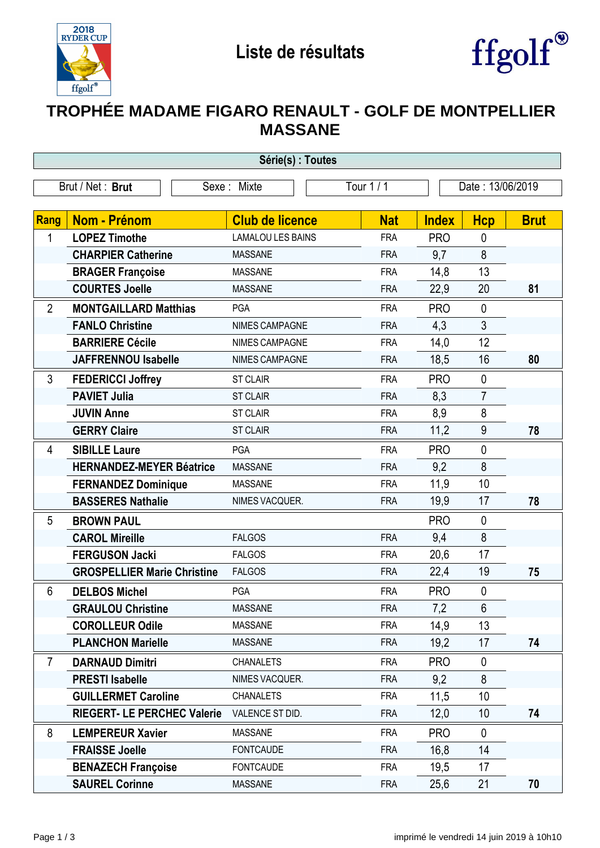



## **TROPHÉE MADAME FIGARO RENAULT - GOLF DE MONTPELLIER MASSANE**

| Série(s) : Toutes |                                    |                          |            |                  |                |             |  |
|-------------------|------------------------------------|--------------------------|------------|------------------|----------------|-------------|--|
| Brut / Net: Brut  |                                    | Sexe: Mixte              | Tour 1 / 1 | Date: 13/06/2019 |                |             |  |
|                   |                                    |                          |            |                  |                |             |  |
| Rang              | <b>Nom - Prénom</b>                | <b>Club de licence</b>   | <b>Nat</b> | <b>Index</b>     | <b>Hcp</b>     | <b>Brut</b> |  |
| 1                 | <b>LOPEZ Timothe</b>               | <b>LAMALOU LES BAINS</b> | <b>FRA</b> | <b>PRO</b>       | 0              |             |  |
|                   | <b>CHARPIER Catherine</b>          | <b>MASSANE</b>           | <b>FRA</b> | 9,7              | 8              |             |  |
|                   | <b>BRAGER Françoise</b>            | <b>MASSANE</b>           | <b>FRA</b> | 14,8             | 13             |             |  |
|                   | <b>COURTES Joelle</b>              | <b>MASSANE</b>           | <b>FRA</b> | 22,9             | 20             | 81          |  |
| $\overline{2}$    | <b>MONTGAILLARD Matthias</b>       | PGA                      | <b>FRA</b> | <b>PRO</b>       | $\mathbf 0$    |             |  |
|                   | <b>FANLO Christine</b>             | NIMES CAMPAGNE           | <b>FRA</b> | 4,3              | 3              |             |  |
|                   | <b>BARRIERE Cécile</b>             | NIMES CAMPAGNE           | <b>FRA</b> | 14,0             | 12             |             |  |
|                   | <b>JAFFRENNOU Isabelle</b>         | <b>NIMES CAMPAGNE</b>    | <b>FRA</b> | 18,5             | 16             | 80          |  |
| 3                 | <b>FEDERICCI Joffrey</b>           | <b>ST CLAIR</b>          | <b>FRA</b> | <b>PRO</b>       | $\mathbf 0$    |             |  |
|                   | <b>PAVIET Julia</b>                | <b>ST CLAIR</b>          | <b>FRA</b> | 8,3              | $\overline{7}$ |             |  |
|                   | <b>JUVIN Anne</b>                  | <b>ST CLAIR</b>          | <b>FRA</b> | 8,9              | 8              |             |  |
|                   | <b>GERRY Claire</b>                | <b>ST CLAIR</b>          | <b>FRA</b> | 11,2             | $9\,$          | 78          |  |
| 4                 | <b>SIBILLE Laure</b>               | PGA                      | <b>FRA</b> | <b>PRO</b>       | $\mathbf 0$    |             |  |
|                   | <b>HERNANDEZ-MEYER Béatrice</b>    | <b>MASSANE</b>           | <b>FRA</b> | 9,2              | 8              |             |  |
|                   | <b>FERNANDEZ Dominique</b>         | <b>MASSANE</b>           | <b>FRA</b> | 11,9             | 10             |             |  |
|                   | <b>BASSERES Nathalie</b>           | NIMES VACQUER.           | <b>FRA</b> | 19,9             | 17             | 78          |  |
| 5                 | <b>BROWN PAUL</b>                  |                          |            | <b>PRO</b>       | $\mathbf 0$    |             |  |
|                   | <b>CAROL Mireille</b>              | <b>FALGOS</b>            | <b>FRA</b> | 9,4              | 8              |             |  |
|                   | <b>FERGUSON Jacki</b>              | <b>FALGOS</b>            | <b>FRA</b> | 20,6             | 17             |             |  |
|                   | <b>GROSPELLIER Marie Christine</b> | <b>FALGOS</b>            | <b>FRA</b> | 22,4             | 19             | 75          |  |
| 6                 | <b>DELBOS Michel</b>               | PGA                      | <b>FRA</b> | <b>PRO</b>       | $\mathbf 0$    |             |  |
|                   | <b>GRAULOU Christine</b>           | <b>MASSANE</b>           | <b>FRA</b> | 7,2              | 6              |             |  |
|                   | <b>COROLLEUR Odile</b>             | <b>MASSANE</b>           | <b>FRA</b> | 14,9             | 13             |             |  |
|                   | <b>PLANCHON Marielle</b>           | <b>MASSANE</b>           | <b>FRA</b> | 19,2             | 17             | 74          |  |
| 7                 | <b>DARNAUD Dimitri</b>             | <b>CHANALETS</b>         | <b>FRA</b> | <b>PRO</b>       | $\mathbf 0$    |             |  |
|                   | <b>PRESTI Isabelle</b>             | NIMES VACQUER.           | <b>FRA</b> | 9,2              | 8              |             |  |
|                   | <b>GUILLERMET Caroline</b>         | <b>CHANALETS</b>         | <b>FRA</b> | 11,5             | 10             |             |  |
|                   | <b>RIEGERT- LE PERCHEC Valerie</b> | VALENCE ST DID.          | <b>FRA</b> | 12,0             | 10             | 74          |  |
| 8                 | <b>LEMPEREUR Xavier</b>            | <b>MASSANE</b>           | <b>FRA</b> | <b>PRO</b>       | $\mathbf 0$    |             |  |
|                   | <b>FRAISSE Joelle</b>              | <b>FONTCAUDE</b>         | <b>FRA</b> | 16,8             | 14             |             |  |
|                   | <b>BENAZECH Françoise</b>          | <b>FONTCAUDE</b>         | <b>FRA</b> | 19,5             | 17             |             |  |
|                   | <b>SAUREL Corinne</b>              | <b>MASSANE</b>           | <b>FRA</b> | 25,6             | 21             | 70          |  |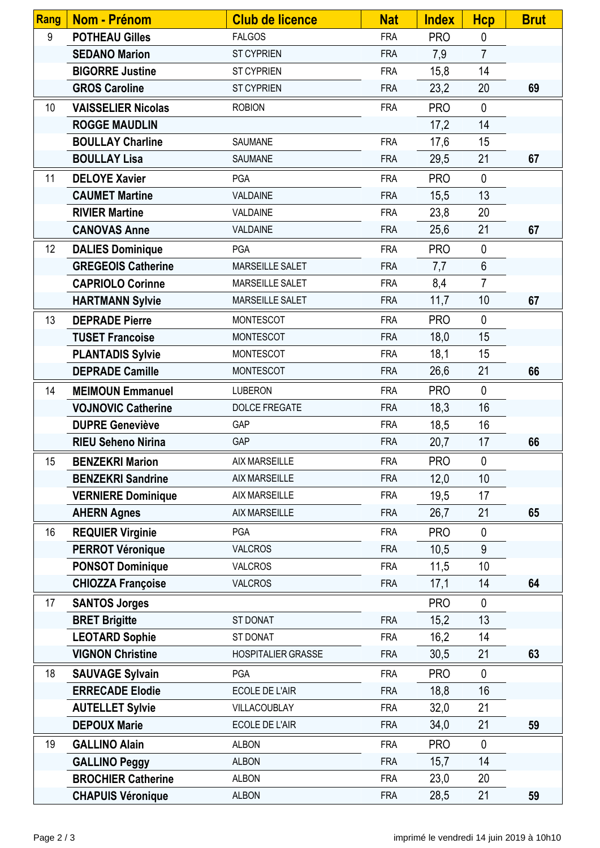| <b>Rang</b>     | <b>Nom - Prénom</b>       | <b>Club de licence</b>    | <b>Nat</b> | <b>Index</b> | <b>Hcp</b>     | <b>Brut</b> |
|-----------------|---------------------------|---------------------------|------------|--------------|----------------|-------------|
| 9               | <b>POTHEAU Gilles</b>     | <b>FALGOS</b>             | <b>FRA</b> | <b>PRO</b>   | $\mathbf 0$    |             |
|                 | <b>SEDANO Marion</b>      | <b>ST CYPRIEN</b>         | <b>FRA</b> | 7,9          | $\overline{7}$ |             |
|                 | <b>BIGORRE Justine</b>    | <b>ST CYPRIEN</b>         | <b>FRA</b> | 15,8         | 14             |             |
|                 | <b>GROS Caroline</b>      | <b>ST CYPRIEN</b>         | <b>FRA</b> | 23,2         | 20             | 69          |
| 10 <sup>°</sup> | <b>VAISSELIER Nicolas</b> | <b>ROBION</b>             | <b>FRA</b> | <b>PRO</b>   | $\mathbf 0$    |             |
|                 | <b>ROGGE MAUDLIN</b>      |                           |            | 17,2         | 14             |             |
|                 | <b>BOULLAY Charline</b>   | SAUMANE                   | <b>FRA</b> | 17,6         | 15             |             |
|                 | <b>BOULLAY Lisa</b>       | SAUMANE                   | <b>FRA</b> | 29,5         | 21             | 67          |
| 11              | <b>DELOYE Xavier</b>      | <b>PGA</b>                | <b>FRA</b> | <b>PRO</b>   | $\mathbf 0$    |             |
|                 | <b>CAUMET Martine</b>     | VALDAINE                  | <b>FRA</b> | 15,5         | 13             |             |
|                 | <b>RIVIER Martine</b>     | VALDAINE                  | <b>FRA</b> | 23,8         | 20             |             |
|                 | <b>CANOVAS Anne</b>       | VALDAINE                  | <b>FRA</b> | 25,6         | 21             | 67          |
| 12              | <b>DALIES Dominique</b>   | <b>PGA</b>                | <b>FRA</b> | <b>PRO</b>   | $\mathbf 0$    |             |
|                 | <b>GREGEOIS Catherine</b> | MARSEILLE SALET           | <b>FRA</b> | 7,7          | $6\phantom{1}$ |             |
|                 | <b>CAPRIOLO Corinne</b>   | MARSEILLE SALET           | <b>FRA</b> | 8,4          | $\overline{7}$ |             |
|                 | <b>HARTMANN Sylvie</b>    | MARSEILLE SALET           | <b>FRA</b> | 11,7         | 10             | 67          |
| 13              | <b>DEPRADE Pierre</b>     | <b>MONTESCOT</b>          | <b>FRA</b> | <b>PRO</b>   | $\mathbf{0}$   |             |
|                 | <b>TUSET Francoise</b>    | <b>MONTESCOT</b>          | <b>FRA</b> | 18,0         | 15             |             |
|                 | <b>PLANTADIS Sylvie</b>   | <b>MONTESCOT</b>          | <b>FRA</b> | 18,1         | 15             |             |
|                 | <b>DEPRADE Camille</b>    | <b>MONTESCOT</b>          | <b>FRA</b> | 26,6         | 21             | 66          |
| 14              | <b>MEIMOUN Emmanuel</b>   | <b>LUBERON</b>            | <b>FRA</b> | <b>PRO</b>   | $\mathbf 0$    |             |
|                 | <b>VOJNOVIC Catherine</b> | DOLCE FREGATE             | <b>FRA</b> | 18,3         | 16             |             |
|                 | <b>DUPRE Geneviève</b>    | GAP                       | <b>FRA</b> | 18,5         | 16             |             |
|                 | <b>RIEU Seheno Nirina</b> | <b>GAP</b>                | <b>FRA</b> | 20,7         | 17             | 66          |
| 15              | <b>BENZEKRI Marion</b>    | AIX MARSEILLE             | <b>FRA</b> | <b>PRO</b>   | $\mathbf 0$    |             |
|                 | <b>BENZEKRI Sandrine</b>  | <b>AIX MARSEILLE</b>      | <b>FRA</b> | 12,0         | 10             |             |
|                 | <b>VERNIERE Dominique</b> | <b>AIX MARSEILLE</b>      | <b>FRA</b> | 19,5         | 17             |             |
|                 | <b>AHERN Agnes</b>        | <b>AIX MARSEILLE</b>      | <b>FRA</b> | 26,7         | 21             | 65          |
| 16              | <b>REQUIER Virginie</b>   | <b>PGA</b>                | <b>FRA</b> | <b>PRO</b>   | $\mathbf 0$    |             |
|                 | <b>PERROT Véronique</b>   | <b>VALCROS</b>            | <b>FRA</b> | 10,5         | 9              |             |
|                 | <b>PONSOT Dominique</b>   | <b>VALCROS</b>            | <b>FRA</b> | 11,5         | 10             |             |
|                 | <b>CHIOZZA Françoise</b>  | <b>VALCROS</b>            | <b>FRA</b> | 17,1         | 14             | 64          |
| 17              | <b>SANTOS Jorges</b>      |                           |            | <b>PRO</b>   | $\mathbf 0$    |             |
|                 | <b>BRET Brigitte</b>      | ST DONAT                  | <b>FRA</b> | 15,2         | 13             |             |
|                 | <b>LEOTARD Sophie</b>     | ST DONAT                  | <b>FRA</b> | 16,2         | 14             |             |
|                 | <b>VIGNON Christine</b>   | <b>HOSPITALIER GRASSE</b> | <b>FRA</b> | 30,5         | 21             | 63          |
| 18              | <b>SAUVAGE Sylvain</b>    | <b>PGA</b>                | <b>FRA</b> | <b>PRO</b>   | $\mathbf 0$    |             |
|                 | <b>ERRECADE Elodie</b>    | <b>ECOLE DE L'AIR</b>     | <b>FRA</b> | 18,8         | 16             |             |
|                 | <b>AUTELLET Sylvie</b>    | VILLACOUBLAY              | <b>FRA</b> | 32,0         | 21             |             |
|                 | <b>DEPOUX Marie</b>       | ECOLE DE L'AIR            | <b>FRA</b> | 34,0         | 21             | 59          |
| 19              | <b>GALLINO Alain</b>      | <b>ALBON</b>              | <b>FRA</b> | <b>PRO</b>   | $\mathbf{0}$   |             |
|                 | <b>GALLINO Peggy</b>      | <b>ALBON</b>              | <b>FRA</b> | 15,7         | 14             |             |
|                 | <b>BROCHIER Catherine</b> | <b>ALBON</b>              | <b>FRA</b> | 23,0         | 20             |             |
|                 | <b>CHAPUIS Véronique</b>  | <b>ALBON</b>              | <b>FRA</b> | 28,5         | 21             | 59          |